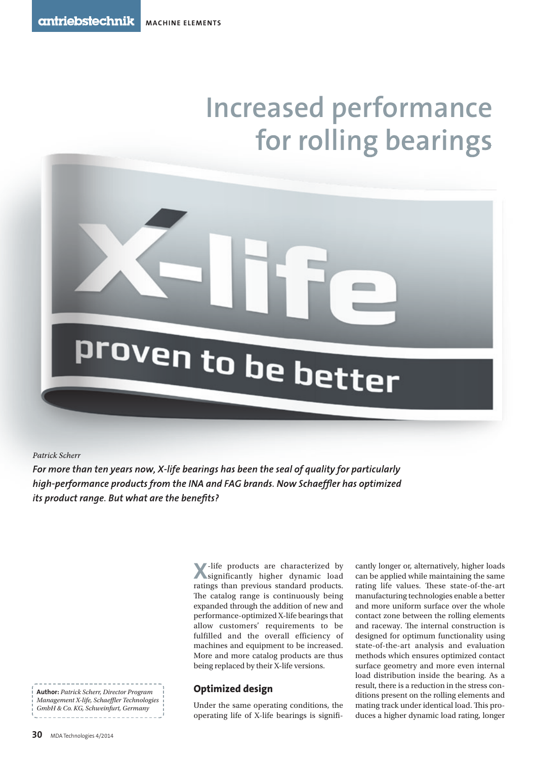# **Increased performance for rolling bearings**

*Patrick Scherr*

*For more than ten years now, X-life bearings has been the seal of quality for particularly high-performance products from the INA and FAG brands. Now Schaeffler has optimized its product range. But what are the benefits?* 

proven to be better

**author:** *Patrick Scherr, Director Program Management X-life, Schaeffler Technologies GmbH & Co. KG, Schweinfurt, Germany*

**X**-life products are characterized by significantly higher dynamic load ratings than previous standard products. The catalog range is continuously being expanded through the addition of new and performance-optimized X-life bearings that allow customers' requirements to be fulfilled and the overall efficiency of machines and equipment to be increased. More and more catalog products are thus being replaced by their X-life versions.

## **Optimized design**

Under the same operating conditions, the operating life of X-life bearings is signifi-

cantly longer or, alternatively, higher loads can be applied while maintaining the same rating life values. These state-of-the-art manufacturing technologies enable a better and more uniform surface over the whole contact zone between the rolling elements and raceway. The internal construction is designed for optimum functionality using state-of-the-art analysis and evaluation methods which ensures optimized contact surface geometry and more even internal load distribution inside the bearing. As a result, there is a reduction in the stress conditions present on the rolling elements and mating track under identical load. This produces a higher dynamic load rating, longer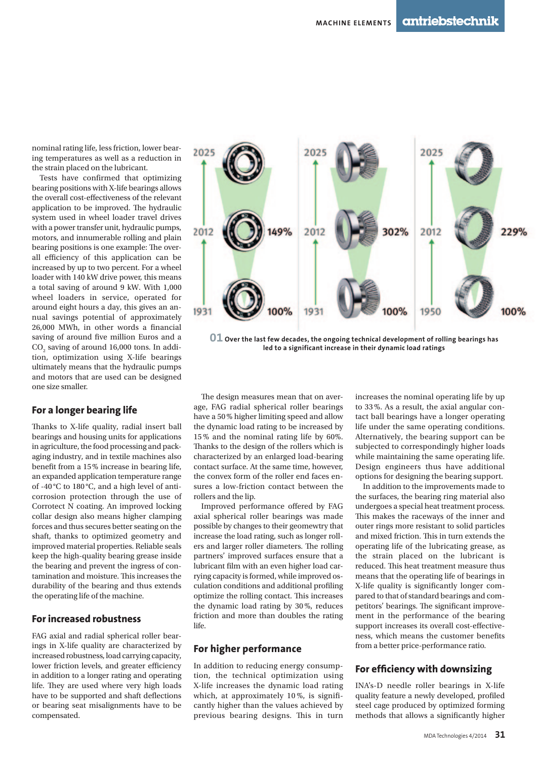nominal rating life, less friction, lower bearing temperatures as well as a reduction in the strain placed on the lubricant.

Tests have confirmed that optimizing bearing positions with X-life bearings allows the overall cost-effectiveness of the relevant application to be improved. The hydraulic system used in wheel loader travel drives with a power transfer unit, hydraulic pumps, motors, and innumerable rolling and plain bearing positions is one example: The overall efficiency of this application can be increased by up to two percent. For a wheel loader with 140 kW drive power, this means a total saving of around 9 kW. With 1,000 wheel loaders in service, operated for around eight hours a day, this gives an annual savings potential of approximately 26,000 MWh, in other words a financial saving of around five million Euros and a  $\mathrm{CO}_2$  saving of around 16,000 tons. In addition, optimization using X-life bearings ultimately means that the hydraulic pumps and motors that are used can be designed one size smaller.

#### **For a longer bearing life**

Thanks to X-life quality, radial insert ball bearings and housing units for applications in agriculture, the food processing and packaging industry, and in textile machines also benefit from a 15% increase in bearing life, an expanded application temperature range of -40 °C to 180 °C, and a high level of anticorrosion protection through the use of Corrotect N coating. An improved locking collar design also means higher clamping forces and thus secures better seating on the shaft, thanks to optimized geometry and improved material properties. Reliable seals keep the high-quality bearing grease inside the bearing and prevent the ingress of contamination and moisture. This increases the durability of the bearing and thus extends the operating life of the machine.

### **For increased robustness**

FAG axial and radial spherical roller bearings in X-life quality are characterized by increased robustness, load carrying capacity, lower friction levels, and greater efficiency in addition to a longer rating and operating life. They are used where very high loads have to be supported and shaft deflections or bearing seat misalignments have to be compensated.



**01 Over the last few decades, the ongoing technical development of rolling bearings has led to a significant increase in their dynamic load ratings**

The design measures mean that on average, FAG radial spherical roller bearings have a 50 % higher limiting speed and allow the dynamic load rating to be increased by 15 % and the nominal rating life by 60%. Thanks to the design of the rollers which is characterized by an enlarged load-bearing contact surface. At the same time, however, the convex form of the roller end faces ensures a low-friction contact between the rollers and the lip.

Improved performance offered by FAG axial spherical roller bearings was made possible by changes to their geomewtry that increase the load rating, such as longer rollers and larger roller diameters. The rolling partners' improved surfaces ensure that a lubricant film with an even higher load carrying capacity is formed, while improved osculation conditions and additional profiling optimize the rolling contact. This increases the dynamic load rating by 30 %, reduces friction and more than doubles the rating life.

## **For higher performance**

In addition to reducing energy consumption, the technical optimization using X-life increases the dynamic load rating which, at approximately 10%, is significantly higher than the values achieved by previous bearing designs. This in turn

 increases the nominal operating life by up to 33 %. As a result, the axial angular contact ball bearings have a longer operating life under the same operating conditions. Alternatively, the bearing support can be subjected to correspondingly higher loads while maintaining the same operating life. Design engineers thus have additional options for designing the bearing support.

In addition to the improvements made to the surfaces, the bearing ring material also undergoes a special heat treatment process. This makes the raceways of the inner and outer rings more resistant to solid particles and mixed friction. This in turn extends the operating life of the lubricating grease, as the strain placed on the lubricant is reduced. This heat treatment measure thus means that the operating life of bearings in X-life quality is significantly longer compared to that of standard bearings and competitors' bearings. The significant improvement in the performance of the bearing support increases its overall cost-effectiveness, which means the customer benefits from a better price-performance ratio.

### **For efficiency with downsizing**

INA's-D needle roller bearings in X-life quality feature a newly developed, profiled steel cage produced by optimized forming methods that allows a significantly higher